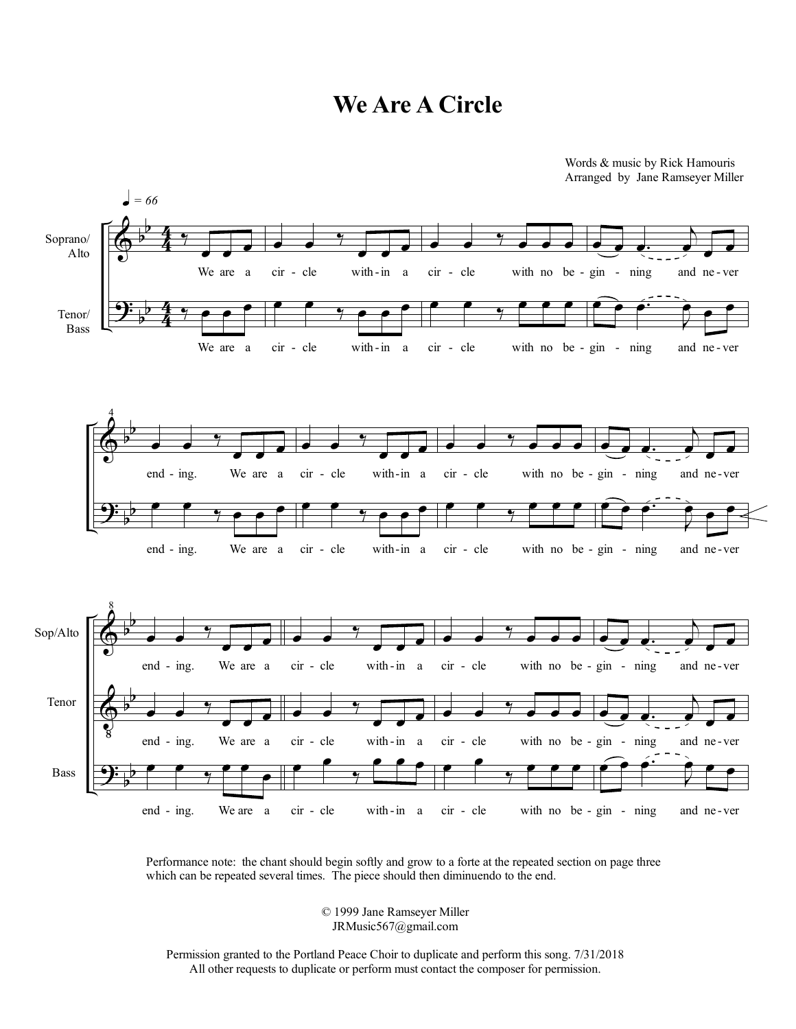## **We Are A Circle**



Performance note: the chant should begin softly and grow to a forte at the repeated section on page three which can be repeated several times. The piece should then diminuendo to the end.

> © 1999 Jane Ramseyer Miller JRMusic567@gmail.com

Permission granted to the Portland Peace Choir to duplicate and perform this song. 7/31/2018 All other requests to duplicate or perform must contact the composer for permission.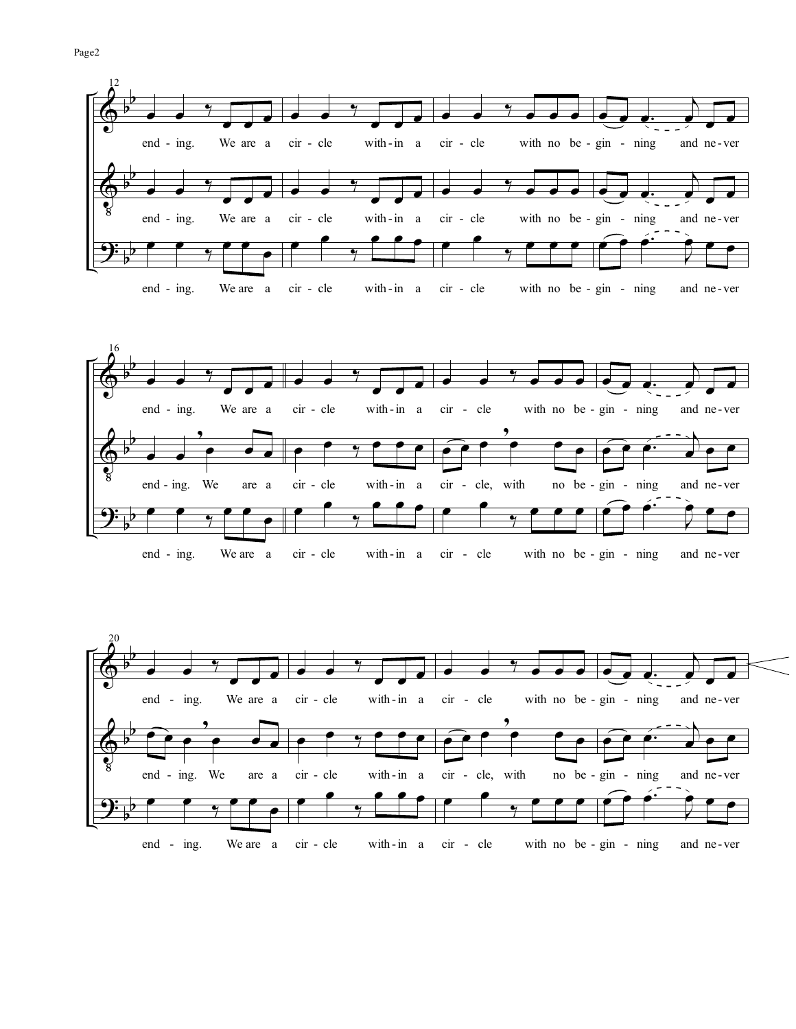